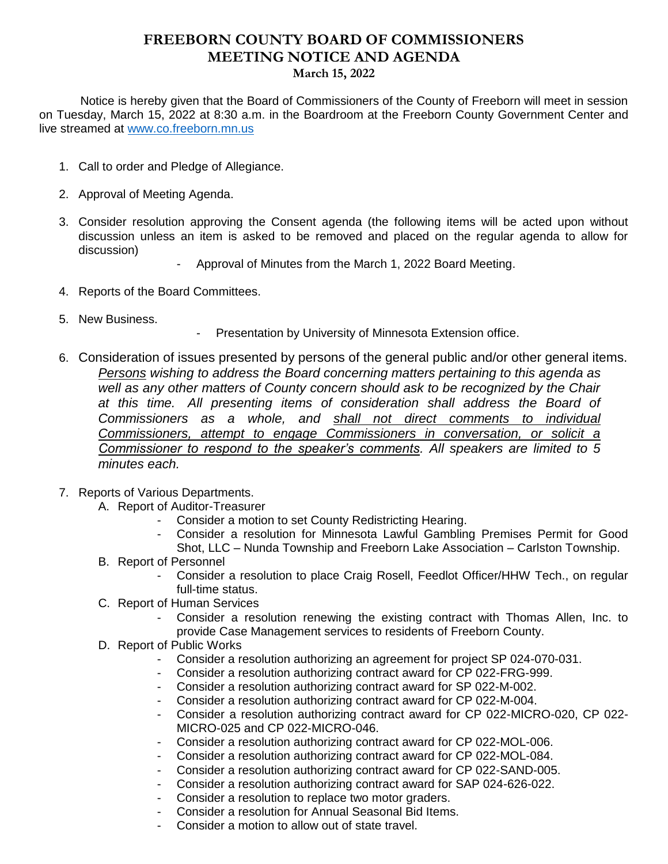## **FREEBORN COUNTY BOARD OF COMMISSIONERS MEETING NOTICE AND AGENDA March 15, 2022**

 Notice is hereby given that the Board of Commissioners of the County of Freeborn will meet in session on Tuesday, March 15, 2022 at 8:30 a.m. in the Boardroom at the Freeborn County Government Center and live streamed at [www.co.freeborn.mn.us](http://www.co.freeborn.mn.us/) 

- 1. Call to order and Pledge of Allegiance.
- 2. Approval of Meeting Agenda.
- 3. Consider resolution approving the Consent agenda (the following items will be acted upon without discussion unless an item is asked to be removed and placed on the regular agenda to allow for discussion)
	- Approval of Minutes from the March 1, 2022 Board Meeting.
- 4. Reports of the Board Committees.
- 5. New Business.
- Presentation by University of Minnesota Extension office.
- 6. Consideration of issues presented by persons of the general public and/or other general items. *Persons wishing to address the Board concerning matters pertaining to this agenda as well as any other matters of County concern should ask to be recognized by the Chair at this time. All presenting items of consideration shall address the Board of Commissioners as a whole, and shall not direct comments to individual Commissioners, attempt to engage Commissioners in conversation, or solicit a Commissioner to respond to the speaker's comments. All speakers are limited to 5 minutes each.*
- 7. Reports of Various Departments.
	- A. Report of Auditor-Treasurer
		- Consider a motion to set County Redistricting Hearing.
		- Consider a resolution for Minnesota Lawful Gambling Premises Permit for Good Shot, LLC – Nunda Township and Freeborn Lake Association – Carlston Township.
	- B. Report of Personnel
		- Consider a resolution to place Craig Rosell, Feedlot Officer/HHW Tech., on regular full-time status.
	- C. Report of Human Services
		- Consider a resolution renewing the existing contract with Thomas Allen, Inc. to provide Case Management services to residents of Freeborn County.
	- D. Report of Public Works
		- Consider a resolution authorizing an agreement for project SP 024-070-031.
		- Consider a resolution authorizing contract award for CP 022-FRG-999.
		- Consider a resolution authorizing contract award for SP 022-M-002.
		- Consider a resolution authorizing contract award for CP 022-M-004.
		- Consider a resolution authorizing contract award for CP 022-MICRO-020, CP 022- MICRO-025 and CP 022-MICRO-046.
		- Consider a resolution authorizing contract award for CP 022-MOL-006.
		- Consider a resolution authorizing contract award for CP 022-MOL-084.
		- Consider a resolution authorizing contract award for CP 022-SAND-005.
		- Consider a resolution authorizing contract award for SAP 024-626-022.
		- Consider a resolution to replace two motor graders.
		- Consider a resolution for Annual Seasonal Bid Items.
		- Consider a motion to allow out of state travel.